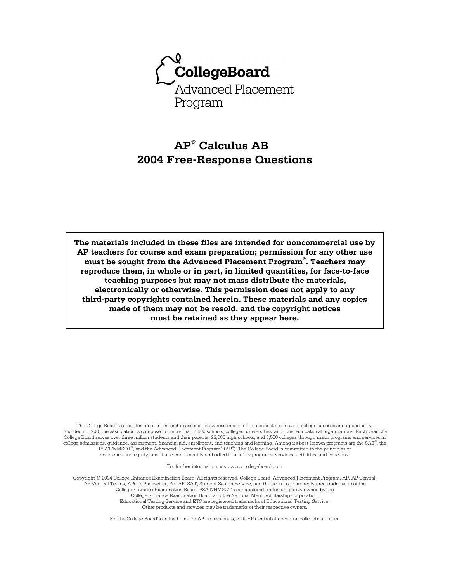

# **AP® Calculus AB 2004 Free-Response Questions**

**The materials included in these files are intended for noncommercial use by AP teachers for course and exam preparation; permission for any other use must be sought from the Advanced Placement Program® . Teachers may reproduce them, in whole or in part, in limited quantities, for face-to-face teaching purposes but may not mass distribute the materials, electronically or otherwise. This permission does not apply to any third-party copyrights contained herein. These materials and any copies made of them may not be resold, and the copyright notices must be retained as they appear here.** 

The College Board is a not-for-profit membership association whose mission is to connect students to college success and opportunity. Founded in 1900, the association is composed of more than 4,500 schools, colleges, universities, and other educational organizations. Each year, the College Board serves over three million students and their parents, 23,000 high schools, and 3,500 colleges through major programs and services in college admissions, guidance, assessment, financial aid, enrollment, and teaching and learning. Among its best-known programs are the SAT® , the PSAT/NMSOT®, and the Advanced Placement Program® (AP®). The College Board is committed to the principles of excellence and equity, and that commitment is embodied in all of its programs, services, activities, and concerns.

For further information, visit www.collegeboard.com

Copyright © 2004 College Entrance Examination Board. All rights reserved. College Board, Advanced Placement Program, AP, AP Central, AP Vertical Teams, APCD, Pacesetter, Pre-AP, SAT, Student Search Service, and the acorn logo are registered trademarks of the College Entrance Examination Board. PSAT/NMSQT is a registered trademark jointly owned by the College Entrance Examination Board and the National Merit Scholarship Corporation. Educational Testing Service and ETS are registered trademarks of Educational Testing Service. Other products and services may be trademarks of their respective owners.

For the College Board's online home for AP professionals, visit AP Central at apcentral.collegeboard.com.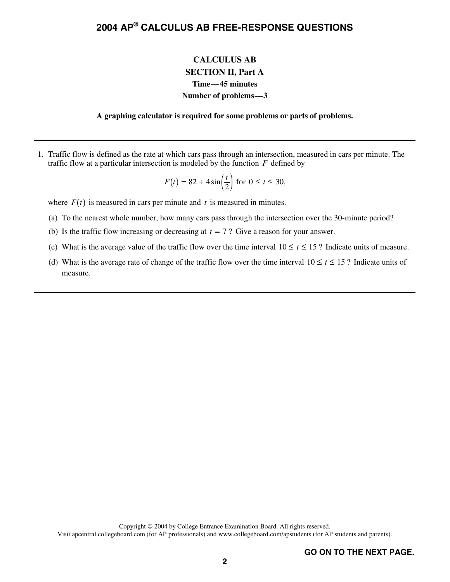### **CALCULUS AB SECTION II, Part A Time—45 minutes Number of problems—3**

#### **A graphing calculator is required for some problems or parts of problems.**

 1. Traffic flow is defined as the rate at which cars pass through an intersection, measured in cars per minute. The traffic flow at a particular intersection is modeled by the function  $F$  defined by

$$
F(t) = 82 + 4\sin\left(\frac{t}{2}\right) \text{ for } 0 \le t \le 30,
$$
  
minute and t is measured in minutes

where  $F(t)$  is measured in cars per minute and  $t$  is measured in minutes.

- (a) To the nearest whole number, how many cars pass through the intersection over the 30-minute period?
- (b) Is the traffic flow increasing or decreasing at  $t = 7$ ? Give a reason for your answer.<br>(c) What is the system value of the traffic flow over the time interval 10  $\le t \le 15.2$  Indi-
- (c) What is the average value of the traffic flow over the time interval  $10 \le t \le 15$ ? Indicate units of measure.
- (d) What is the average rate of change of the traffic flow over the time interval  $10 \le t \le 15$ ? Indicate units of measure.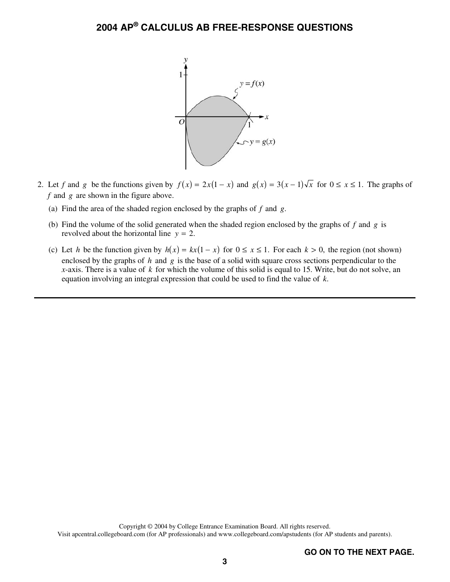

- 2. Let *f* and *g* be the functions given by  $f(x) = 2x(1-x)$  and  $g(x) = 3(x-1)\sqrt{x}$  for  $0 \le x \le 1$ . The graphs of *f* and *g* are shown in the figure above.
	- (a) Find the area of the shaded region enclosed by the graphs of *f* and *g*.
	- (b) Find the volume of the solid generated when the shaded region enclosed by the graphs of *f* and *g* is revolved about the horizontal line  $y = 2$ .
	- (c) Let h be the function given by  $h(x) = kx(1-x)$  for  $0 \le x \le 1$ . For each  $k > 0$ , the region (not shown) enclosed by the graphs of h and g is the base of a solid with square cross sections perpendicular to the *x*-axis. There is a value of *k* for which the volume of this solid is equal to 15. Write, but do not solve, an equation involving an integral expression that could be used to find the value of *k*.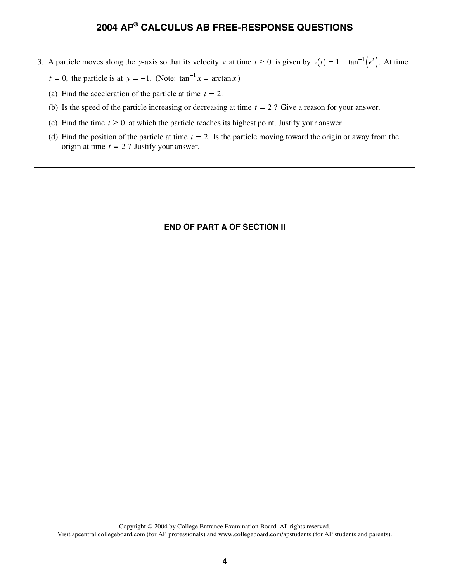- 3. A particle moves along the *y*-axis so that its velocity *v* at time  $t \ge 0$  is given by  $v(t) = 1 \tan^{-1}(e^t)$ . At time  $t = 0$ , the particle is at  $y = -1$ . (Note:  $\tan^{-1} x = \arctan x$ )<br>(a) Find the acceleration of the particle a
	- $t = 0$ , the particle is at  $y = -1$ . (Note:  $\tan^{-1} x = \arctan x$ <br>(a) Find the exceleration of the particle at time  $t = 2$
	- (a) Find the acceleration of the particle at time  $t = 2$ .<br>(b) Is the speed of the particle increasing or decreasing
	- (a) Find the acceleration of the particle at time  $t = 2$ .<br>
	(b) Is the speed of the particle increasing or decreasing at time  $t = 2$ ? Give a reason for your answer.<br>
	(c) Find the time  $t > 0$  at which the particle gaseles i
	- (c) Find the time  $t \geq 0$  at which the particle reaches its highest point. Justify your answer.
	- (d) Find the position of the particle at time  $t = 2$ . Is the particle moving toward the origin or away from the origin at time  $t = 2$ ? Justify your answer. origin at time  $t = 2$  ? Justify your answer.

### **END OF PART A OF SECTION II**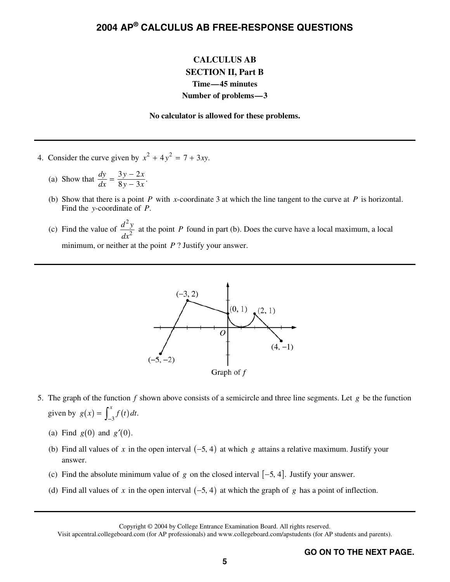### **CALCULUS AB SECTION II, Part B Time—45 minutes Number of problems—3**

#### **No calculator is allowed for these problems.**

- 4. Consider the curve given by  $x^2 + 4y^2 = 7 + 3xy$ .
	- (a) Show that  $\frac{dy}{dx} = \frac{3y 2x}{8y 3x}$ .  $\frac{dy}{dx} = \frac{dy}{8y - 3x}$
	- (b) Show that there is a point *P* with *x*-coordinate 3 at which the line tangent to the curve at *P* is horizontal. Find the *y*-coordinate of *P*.
	- (c) Find the value of 2 2  $\frac{d^2y}{dx^2}$  at the point *P* found in part (b). Does the curve have a local maximum, a local minimum, or neither at the point *P* ? Justify your answer.



- 5. The graph of the function *f* shown above consists of a semicircle and three line segments. Let *g* be the function given by  $g(x) = \int_{-3}^{x} f(t) dt$ .
	- (a) Find  $g(0)$  and  $g'(0)$ .
	- (a) Find  $g(0)$  and  $g'(0)$ .<br>
	(b) Find all values of *x* in the open interval (-5, 4) (b) Find all values of x in the open interval  $(-5, 4)$  at which g attains a relative maximum. Justify your answer.<br>(c) Find the absolute minimum value of g on the closed interval  $[-5, 4]$ . Justify your answer.<br>(d) Find al answer.
	-
	- (d) Find all values of *x* in the open interval  $(-5, 4)$  at which the graph of *g* has a point of inflection.<br>Copyright  $\odot$  2004 by College Entrance Examination Board. All rights reserved.<br>Visit ancentral collegeboard c

Copyright © 2004 by College Entrance Examination Board. All rights reserved.

Visit apcentral.collegeboard.com (for AP professionals) and www.collegeboard.com/apstudents (for AP students and parents).